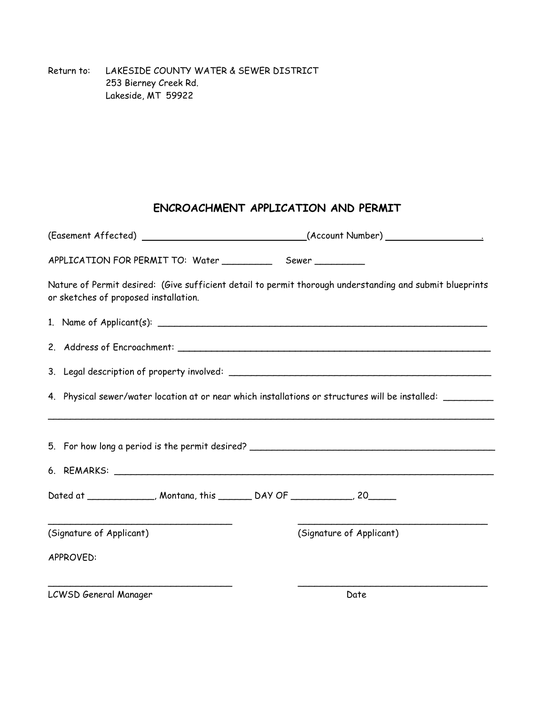Return to: LAKESIDE COUNTY WATER & SEWER DISTRICT 253 Bierney Creek Rd. Lakeside, MT 59922

## **ENCROACHMENT APPLICATION AND PERMIT**

|                                                                                                                                                                                                                                | (Easement Affected) __________________________________(Account Number) ____________________________        |
|--------------------------------------------------------------------------------------------------------------------------------------------------------------------------------------------------------------------------------|------------------------------------------------------------------------------------------------------------|
|                                                                                                                                                                                                                                |                                                                                                            |
| or sketches of proposed installation.                                                                                                                                                                                          | Nature of Permit desired: (Give sufficient detail to permit thorough understanding and submit blueprints   |
| 1. Name of Applicant(s): 1. All and 2. All and 2. All and 2. All and 2. All and 2. All and 2. All and 2. All and 2. All and 2. All and 2. All and 2. All and 2. All and 2. All and 2. All and 2. All and 2. All and 2. All and |                                                                                                            |
|                                                                                                                                                                                                                                |                                                                                                            |
|                                                                                                                                                                                                                                |                                                                                                            |
|                                                                                                                                                                                                                                | 4. Physical sewer/water location at or near which installations or structures will be installed: _________ |
|                                                                                                                                                                                                                                | 5. For how long a period is the permit desired? ________________________________                           |
|                                                                                                                                                                                                                                |                                                                                                            |
| Dated at _____________, Montana, this _________ DAY OF ____________, 20_______                                                                                                                                                 |                                                                                                            |
| (Signature of Applicant)                                                                                                                                                                                                       | (Signature of Applicant)                                                                                   |
| APPROVED:                                                                                                                                                                                                                      |                                                                                                            |
| LCWSD General Manager                                                                                                                                                                                                          | Date                                                                                                       |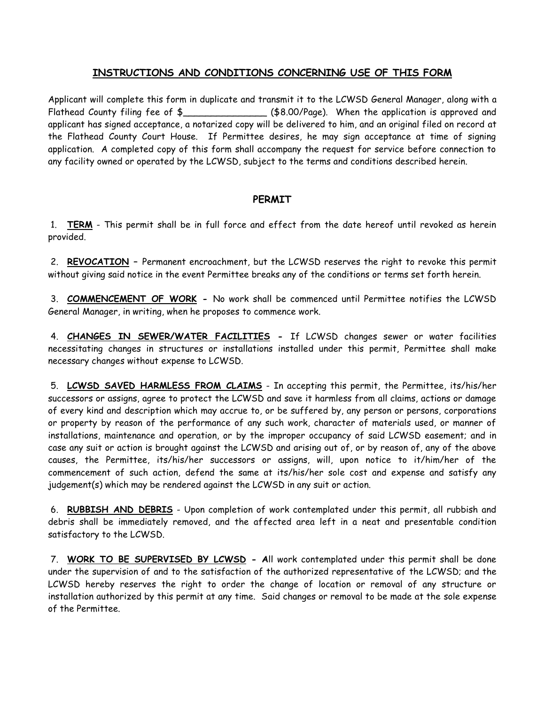## **INSTRUCTIONS AND CONDITIONS CONCERNING USE OF THIS FORM**

Applicant will complete this form in duplicate and transmit it to the LCWSD General Manager, along with a Flathead County filing fee of \$\_\_\_\_\_\_\_\_\_\_\_\_\_\_\_\_\_\_\_\_\_\_\_(\$8.00/Page). When the application is approved and applicant has signed acceptance, a notarized copy will be delivered to him, and an original filed on record at the Flathead County Court House. If Permittee desires, he may sign acceptance at time of signing application. A completed copy of this form shall accompany the request for service before connection to any facility owned or operated by the LCWSD, subject to the terms and conditions described herein.

## **PERMIT**

1. **TERM** - This permit shall be in full force and effect from the date hereof until revoked as herein provided.

2. **REVOCATION –** Permanent encroachment, but the LCWSD reserves the right to revoke this permit without giving said notice in the event Permittee breaks any of the conditions or terms set forth herein.

3. **COMMENCEMENT OF WORK -** No work shall be commenced until Permittee notifies the LCWSD General Manager, in writing, when he proposes to commence work.

4. **CHANGES IN SEWER/WATER FACILITIES -** If LCWSD changes sewer or water facilities necessitating changes in structures or installations installed under this permit, Permittee shall make necessary changes without expense to LCWSD.

5. **LCWSD SAVED HARMLESS FROM CLAIMS** - In accepting this permit, the Permittee, its/his/her successors or assigns, agree to protect the LCWSD and save it harmless from all claims, actions or damage of every kind and description which may accrue to, or be suffered by, any person or persons, corporations or property by reason of the performance of any such work, character of materials used, or manner of installations, maintenance and operation, or by the improper occupancy of said LCWSD easement; and in case any suit or action is brought against the LCWSD and arising out of, or by reason of, any of the above causes, the Permittee, its/his/her successors or assigns, will, upon notice to it/him/her of the commencement of such action, defend the same at its/his/her sole cost and expense and satisfy any judgement(s) which may be rendered against the LCWSD in any suit or action.

6. **RUBBISH AND DEBRIS** - Upon completion of work contemplated under this permit, all rubbish and debris shall be immediately removed, and the affected area left in a neat and presentable condition satisfactory to the LCWSD.

7. **WORK TO BE SUPERVISED BY LCWSD - A**ll work contemplated under this permit shall be done under the supervision of and to the satisfaction of the authorized representative of the LCWSD; and the LCWSD hereby reserves the right to order the change of location or removal of any structure or installation authorized by this permit at any time. Said changes or removal to be made at the sole expense of the Permittee.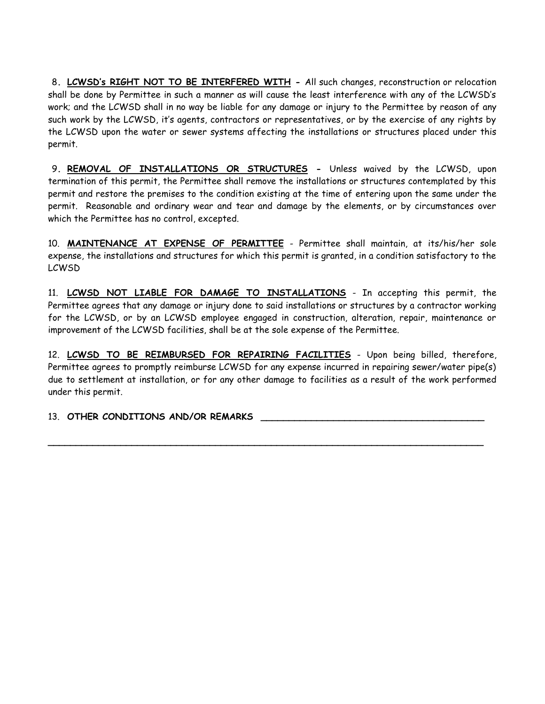8**. LCWSD's RIGHT NOT TO BE INTERFERED WITH -** All such changes, reconstruction or relocation shall be done by Permittee in such a manner as will cause the least interference with any of the LCWSD's work; and the LCWSD shall in no way be liable for any damage or injury to the Permittee by reason of any such work by the LCWSD, it's agents, contractors or representatives, or by the exercise of any rights by the LCWSD upon the water or sewer systems affecting the installations or structures placed under this permit.

9**. REMOVAL OF INSTALLATIONS OR STRUCTURES -** Unless waived by the LCWSD, upon termination of this permit, the Permittee shall remove the installations or structures contemplated by this permit and restore the premises to the condition existing at the time of entering upon the same under the permit. Reasonable and ordinary wear and tear and damage by the elements, or by circumstances over which the Permittee has no control, excepted.

10. **MAINTENANCE AT EXPENSE OF PERMITTEE** - Permittee shall maintain, at its/his/her sole expense, the installations and structures for which this permit is granted, in a condition satisfactory to the LCWSD

11. **LCWSD NOT LIABLE FOR DAMAGE TO INSTALLATIONS** - In accepting this permit, the Permittee agrees that any damage or injury done to said installations or structures by a contractor working for the LCWSD, or by an LCWSD employee engaged in construction, alteration, repair, maintenance or improvement of the LCWSD facilities, shall be at the sole expense of the Permittee.

12. **LCWSD TO BE REIMBURSED FOR REPAIRING FACILITIES** - Upon being billed, therefore, Permittee agrees to promptly reimburse LCWSD for any expense incurred in repairing sewer/water pipe(s) due to settlement at installation, or for any other damage to facilities as a result of the work performed under this permit.

**\_\_\_\_\_\_\_\_\_\_\_\_\_\_\_\_\_\_\_\_\_\_\_\_\_\_\_\_\_\_\_\_\_\_\_\_\_\_\_\_\_\_\_\_\_\_\_\_\_\_\_\_\_\_\_\_\_\_\_\_\_\_\_\_\_\_\_\_\_\_\_\_\_\_\_\_\_\_**

13. OTHER CONDITIONS AND/OR REMARKS